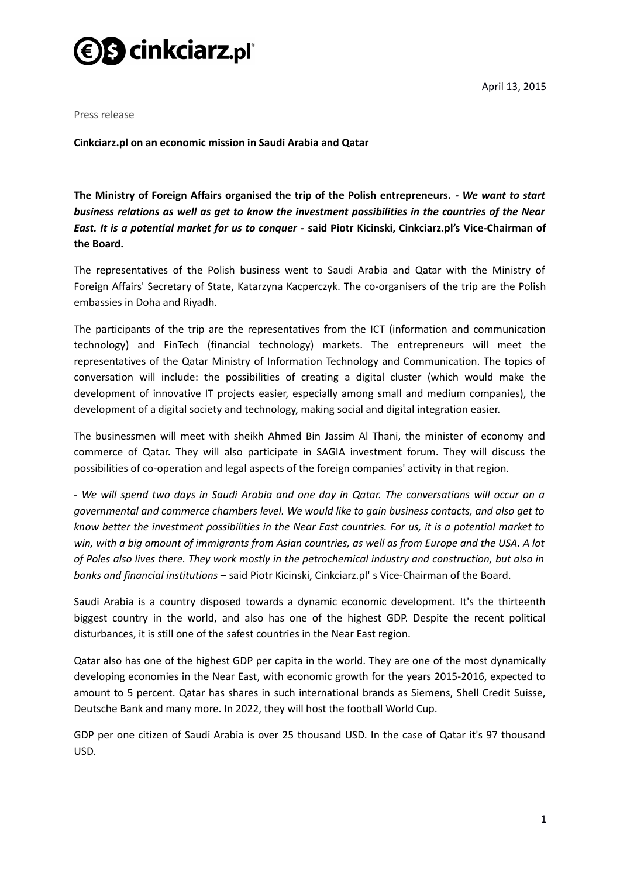

April 13, 2015

Press release

**Cinkciarz.pl on an economic mission in Saudi Arabia and Qatar**

**The Ministry of Foreign Affairs organised the trip of the Polish entrepreneurs.** *- We want to start business relations as well as get to know the investment possibilities in the countries of the Near East. It is a potential market for us to conquer -* **said Piotr Kicinski, Cinkciarz.pl's Vice-Chairman of the Board.**

The representatives of the Polish business went to Saudi Arabia and Qatar with the Ministry of Foreign Affairs' Secretary of State, Katarzyna Kacperczyk. The co-organisers of the trip are the Polish embassies in Doha and Riyadh.

The participants of the trip are the representatives from the ICT (information and communication technology) and FinTech (financial technology) markets. The entrepreneurs will meet the representatives of the Qatar Ministry of Information Technology and Communication. The topics of conversation will include: the possibilities of creating a digital cluster (which would make the development of innovative IT projects easier, especially among small and medium companies), the development of a digital society and technology, making social and digital integration easier.

The businessmen will meet with sheikh Ahmed Bin Jassim Al Thani, the minister of economy and commerce of Qatar. They will also participate in SAGIA investment forum. They will discuss the possibilities of co-operation and legal aspects of the foreign companies' activity in that region.

*- We will spend two days in Saudi Arabia and one day in Qatar. The conversations will occur on a governmental and commerce chambers level. We would like to gain business contacts, and also get to know better the investment possibilities in the Near East countries. For us, it is a potential market to win, with a big amount of immigrants from Asian countries, as well as from Europe and the USA. A lot of Poles also lives there. They work mostly in the petrochemical industry and construction, but also in banks and financial institutions –* said Piotr Kicinski, Cinkciarz.pl' s Vice-Chairman of the Board.

Saudi Arabia is a country disposed towards a dynamic economic development. It's the thirteenth biggest country in the world, and also has one of the highest GDP. Despite the recent political disturbances, it is still one of the safest countries in the Near East region.

Qatar also has one of the highest GDP per capita in the world. They are one of the most dynamically developing economies in the Near East, with economic growth for the years 2015-2016, expected to amount to 5 percent. Qatar has shares in such international brands as Siemens, Shell Credit Suisse, Deutsche Bank and many more. In 2022, they will host the football World Cup.

GDP per one citizen of Saudi Arabia is over 25 thousand USD. In the case of Qatar it's 97 thousand USD.